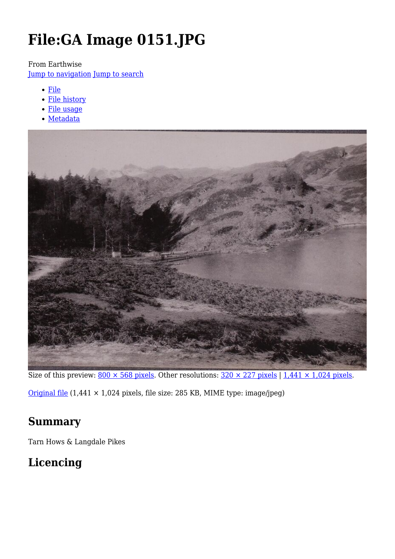# **File:GA Image 0151.JPG**

#### From Earthwise

[Jump to navigation](#page--1-0) [Jump to search](#page--1-0)

- [File](#page--1-0)
- [File history](#page--1-0)
- [File usage](#page--1-0)
- [Metadata](#page--1-0)



Size of this preview:  $800 \times 568$  pixels. Other resolutions:  $320 \times 227$  pixels | 1,441  $\times$  1,024 pixels.

[Original file](http://earthwise.bgs.ac.uk/images/4/4b/GA_Image_0151.JPG) (1,441 × 1,024 pixels, file size: 285 KB, MIME type: image/jpeg)

# **Summary**

Tarn Hows & Langdale Pikes

# **Licencing**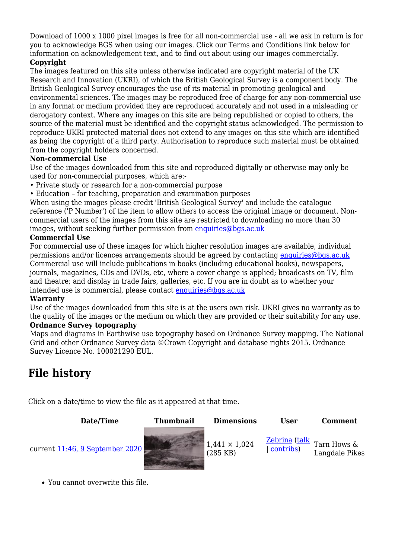Download of 1000 x 1000 pixel images is free for all non-commercial use - all we ask in return is for you to acknowledge BGS when using our images. Click our Terms and Conditions link below for information on acknowledgement text, and to find out about using our images commercially.

#### **Copyright**

The images featured on this site unless otherwise indicated are copyright material of the UK Research and Innovation (UKRI), of which the British Geological Survey is a component body. The British Geological Survey encourages the use of its material in promoting geological and environmental sciences. The images may be reproduced free of charge for any non-commercial use in any format or medium provided they are reproduced accurately and not used in a misleading or derogatory context. Where any images on this site are being republished or copied to others, the source of the material must be identified and the copyright status acknowledged. The permission to reproduce UKRI protected material does not extend to any images on this site which are identified as being the copyright of a third party. Authorisation to reproduce such material must be obtained from the copyright holders concerned.

#### **Non-commercial Use**

Use of the images downloaded from this site and reproduced digitally or otherwise may only be used for non-commercial purposes, which are:-

- Private study or research for a non-commercial purpose
- Education for teaching, preparation and examination purposes

When using the images please credit 'British Geological Survey' and include the catalogue reference ('P Number') of the item to allow others to access the original image or document. Noncommercial users of the images from this site are restricted to downloading no more than 30 images, without seeking further permission from [enquiries@bgs.ac.uk](mailto:enquiries@bgs.ac.uk)

#### **Commercial Use**

For commercial use of these images for which higher resolution images are available, individual permissions and/or licences arrangements should be agreed by contacting [enquiries@bgs.ac.uk](mailto:enquiries@bgs.ac.uk) Commercial use will include publications in books (including educational books), newspapers, journals, magazines, CDs and DVDs, etc, where a cover charge is applied; broadcasts on TV, film and theatre; and display in trade fairs, galleries, etc. If you are in doubt as to whether your intended use is commercial, please contact [enquiries@bgs.ac.uk](mailto:enquiries@bgs.ac.uk)

#### **Warranty**

Use of the images downloaded from this site is at the users own risk. UKRI gives no warranty as to the quality of the images or the medium on which they are provided or their suitability for any use. **Ordnance Survey topography**

Maps and diagrams in Earthwise use topography based on Ordnance Survey mapping. The National Grid and other Ordnance Survey data ©Crown Copyright and database rights 2015. Ordnance Survey Licence No. 100021290 EUL.

# **File history**

Click on a date/time to view the file as it appeared at that time.

| Date/Time                              | <b>Thumbnail</b> | <b>Dimensions</b>                  | User                              | <b>Comment</b>                |
|----------------------------------------|------------------|------------------------------------|-----------------------------------|-------------------------------|
| current <u>11:46, 9 September 2020</u> |                  | $1,441 \times 1,024$<br>$(285$ KB) | <u>Zebrina</u> (talk<br>contribs) | Tarn Hows &<br>Langdale Pikes |

You cannot overwrite this file.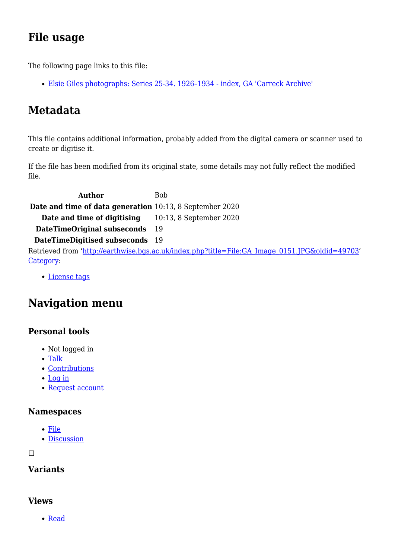# **File usage**

The following page links to this file:

[Elsie Giles photographs: Series 25-34. 1926–1934 - index, GA 'Carreck Archive'](http://earthwise.bgs.ac.uk/index.php/Elsie_Giles_photographs:_Series_25-34._1926%E2%80%931934_-_index,_GA_%27Carreck_Archive%27)

# **Metadata**

This file contains additional information, probably added from the digital camera or scanner used to create or digitise it.

If the file has been modified from its original state, some details may not fully reflect the modified file.

**Author** Bob **Date and time of data generation** 10:13, 8 September 2020 **Date and time of digitising** 10:13, 8 September 2020 **DateTimeOriginal subseconds** 19 **DateTimeDigitised subseconds** 19 Retrieved from ['http://earthwise.bgs.ac.uk/index.php?title=File:GA\\_Image\\_0151.JPG&oldid=49703](http://earthwise.bgs.ac.uk/index.php?title=File:GA_Image_0151.JPG&oldid=49703)' [Category](http://earthwise.bgs.ac.uk/index.php/Special:Categories):

[License tags](http://earthwise.bgs.ac.uk/index.php/Category:License_tags)

# **Navigation menu**

### **Personal tools**

- Not logged in
- [Talk](http://earthwise.bgs.ac.uk/index.php/Special:MyTalk)
- [Contributions](http://earthwise.bgs.ac.uk/index.php/Special:MyContributions)
- [Log in](http://earthwise.bgs.ac.uk/index.php?title=Special:UserLogin&returnto=File%3AGA+Image+0151.JPG&returntoquery=action%3Dmpdf)
- [Request account](http://earthwise.bgs.ac.uk/index.php/Special:RequestAccount)

### **Namespaces**

- [File](http://earthwise.bgs.ac.uk/index.php/File:GA_Image_0151.JPG)
- [Discussion](http://earthwise.bgs.ac.uk/index.php?title=File_talk:GA_Image_0151.JPG&action=edit&redlink=1)

 $\Box$ 

## **Variants**

### **Views**

• [Read](http://earthwise.bgs.ac.uk/index.php/File:GA_Image_0151.JPG)